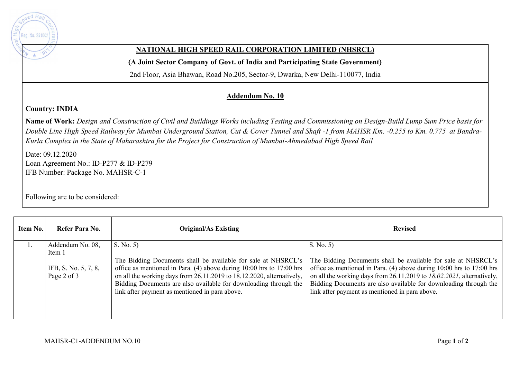

## **NATIONAL HIGH SPEED RAIL CORPORATION LIMITED (NHSRCL)**

**(A Joint Sector Company of Govt. of India and Participating State Government)** 

2nd Floor, Asia Bhawan, Road No.205, Sector-9, Dwarka, New Delhi-110077, India

## **Addendum No. 10**

## **Country: INDIA**

**Name of Work:** *Design and Construction of Civil and Buildings Works including Testing and Commissioning on Design-Build Lump Sum Price basis for Double Line High Speed Railway for Mumbai Underground Station, Cut & Cover Tunnel and Shaft -1 from MAHSR Km. -0.255 to Km. 0.775 at Bandra-Kurla Complex in the State of Maharashtra for the Project for Construction of Mumbai-Ahmedabad High Speed Rail*

Date: 09.12.2020 Loan Agreement No.: ID-P277 & ID-P279 IFB Number: Package No. MAHSR-C-1

Following are to be considered:

| Item No. | Refer Para No.                                                    | <b>Original/As Existing</b>                                                                                                                                                                                                                                                                                                                      | <b>Revised</b>                                                                                                                                                                                                                                                                                                                                     |
|----------|-------------------------------------------------------------------|--------------------------------------------------------------------------------------------------------------------------------------------------------------------------------------------------------------------------------------------------------------------------------------------------------------------------------------------------|----------------------------------------------------------------------------------------------------------------------------------------------------------------------------------------------------------------------------------------------------------------------------------------------------------------------------------------------------|
|          | Addendum No. 08,<br>Item 1<br>IFB, S. No. 5, 7, 8,<br>Page 2 of 3 | S. No. 5<br>The Bidding Documents shall be available for sale at NHSRCL's<br>office as mentioned in Para. (4) above during 10:00 hrs to 17:00 hrs<br>on all the working days from 26.11.2019 to 18.12.2020, alternatively,<br>Bidding Documents are also available for downloading through the<br>link after payment as mentioned in para above. | S. No. 5<br>The Bidding Documents shall be available for sale at NHSRCL's<br>office as mentioned in Para. $(4)$ above during 10:00 hrs to 17:00 hrs<br>on all the working days from 26.11.2019 to 18.02.2021, alternatively,<br>Bidding Documents are also available for downloading through the<br>link after payment as mentioned in para above. |
|          |                                                                   |                                                                                                                                                                                                                                                                                                                                                  |                                                                                                                                                                                                                                                                                                                                                    |